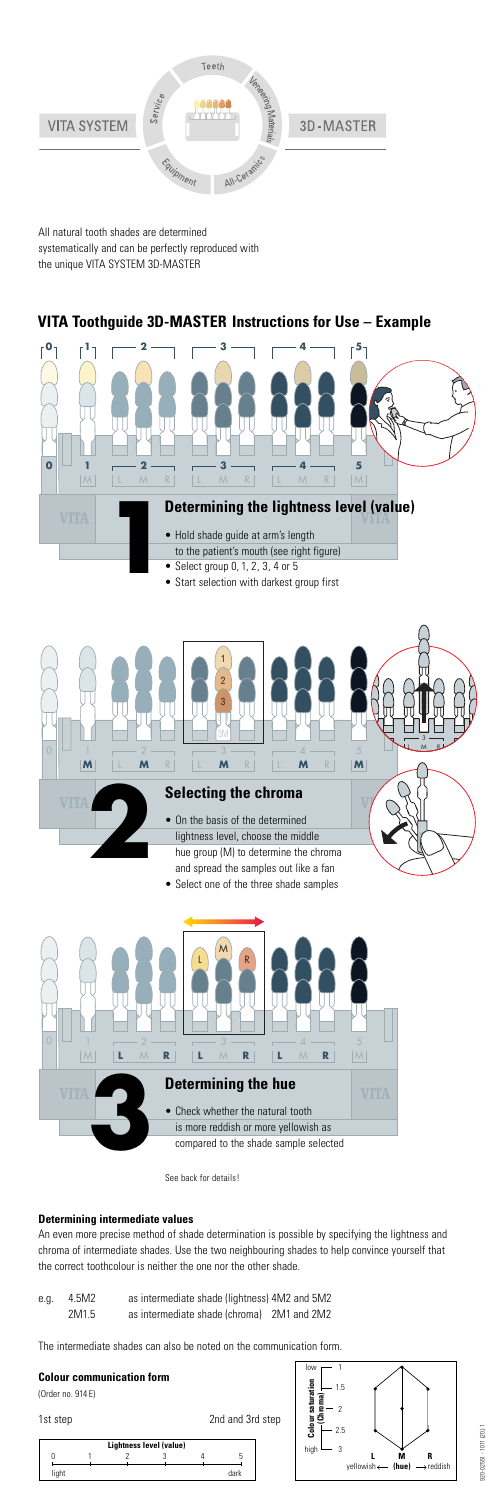

All natural tooth shades are determined systematically and can be perfectly reproduced with the unique VITA SYSTEM 3D-MASTER

## **Determining intermediate values**

An even more precise method of shade determination is possible by specifying the lightness and chroma of intermediate shades. Use the two neighbouring shades to help convince yourself that the correct toothcolour is neither the one nor the other shade.

| Lightness level (value) |  |  |  |  |      |
|-------------------------|--|--|--|--|------|
|                         |  |  |  |  |      |
| light                   |  |  |  |  | dark |



- e.g. 4.5M2 as intermediate shade (lightness) 4M2 and 5M2
	- 2M1.5 as intermediate shade (chroma) 2M1 and 2M2



The intermediate shades can also be noted on the communication form.

**Colour communication form**



(Order no. 914 E)

1st step 2nd and 3rd step



• Start selection with darkest group first

# **VITA Toothguide 3D-MASTER Instructions for Use – Example**

• Select one of the three shade samples

See back for details!